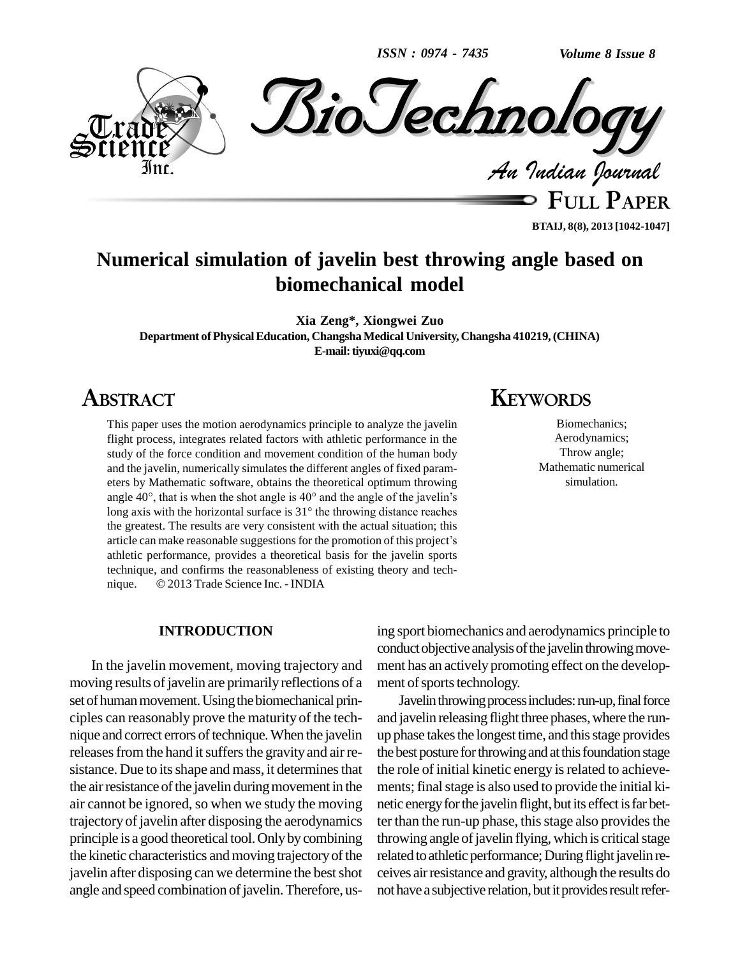*ISSN : 0974 - 7435*

*Volume 8 Issue 8*



**FULL PAPER BTAIJ, 8(8), 2013 [1042-1047]**

# **Numerical simulation of javelin best throwing angle based on biomechanical model**

**Xia Zeng\*, Xiongwei Zuo**

**Department ofPhysicalEducation, ChangshaMedical University, Changsha 410219,(CHINA) E-mail:[tiyuxi@qq.com](mailto:tiyuxi@qq.com)**

# **ABSTRACT**

This paper uses the motion aerodynamics principle to analyze the javelin flight process, integrates related factors with athletic performance in the study of the force condition and movement condition of the human body and the javelin, numerically simulates the different angles of fixed param eters by Mathematic software, obtains the theoretical optimum throwing and the javelin, numerically simulates the different angles of fixed parameters by Mathematic software, obtains the theoretical optimum throwing angle  $40^{\circ}$ , that is when the shot angle is  $40^{\circ}$  and the angle of the eters by Mathematic software, obtains the theoretical optimum throwing angle  $40^{\circ}$ , that is when the shot angle is  $40^{\circ}$  and the angle of the javelin's long axis with the horizontal surface is  $31^{\circ}$  the throwing the greatest. The results are very consistent with the actual situation; this long axis with the horizontal surface is  $31^\circ$  the throwing distance reaches the greatest. The results are very consistent with the actual situation; this article can make reasonable suggestions for the promotion of this athletic performance, provides a theoretical basis for the javelin sports<br>technique, and confirms the reasonableness of existing theory and tech-<br>nique. © 2013 Trade Science Inc. - INDIA technique, and confirms the reasonableness of existing theory and tech-

### **INTRODUCTION**

In the javelin movement, moving trajectory and moving results of javelin are primarily reflections of a set of human movement. Using the biomechanical principles can reasonably prove the maturity of the tech nique and correct errors of technique. When the javelin releases from the hand it suffers the gravity and air resistance. Due to its shape and mass, it determines that the air resistance of the javelin during movement in the air cannot be ignored, so when we study the moving trajectory of javelin after disposing the aerodynamics principle is a good theoretical tool.Onlybycombining the kinetic characteristics and moving trajectory of the javelin after disposing can we determine the best shot angle and speed combination of javelin. Therefore, us-

# **KEYWORDS**

Biomechanics; Aerodynamics; Throw angle; Mathematic numerical simulation.

ing sport biomechanics and aerodynamics principle to conduct objective analysis of the javelin throwing movement has an actively promoting effect on the develop ment of sports technology.

Javelin throwing process includes: run-up, final force and javelin releasing flight three phases, where the runup phase takes the longest time, and this stage provides the best posture for throwing and at this foundation stage the role of initial kinetic energy is related to achievements; final stage is also used to provide the initial kinetic energy for the javelin flight, but its effect is far better than the run-up phase, this stage also provides the throwing angle of javelin flying, which is critical stage related to athletic performance; During flight javelin receives airresistance and gravity, although the results do not have a subjective relation, but it provides result refer-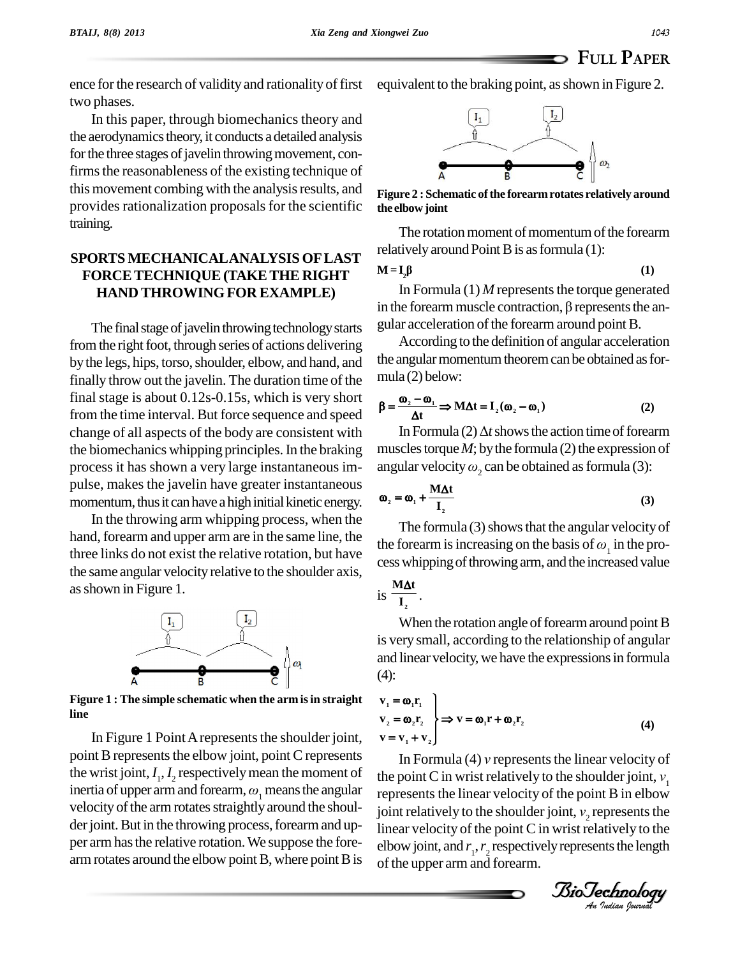**M=I**

ence for the research of validity and rationality of first two phases.

In this paper, through biomechanics theory and the aerodynamics theory, it conducts a detailed analysis for the three stages of javelin throwing movement, confirms the reasonableness of the existing technique of this movement combing with the analysis results, and provides rationalization proposals for the scientific training.

### **SPORTS MECHANICALANALYSIS OFLAST FORCETECHNIQUE(TAKETHE RIGHT HAND THROWINGFOR EXAMPLE)**

The final stage of javelin throwing technology starts from the right foot, through series of actions delivering by the legs, hips, torso, shoulder, elbow, and hand, and finally throw out the javelin. The duration time of the final stage is about 0.12s-0.15s, which is very short from the time interval. But force sequence and speed change of all aspects of the body are consistent with the biomechanics whipping principles. In the braking process it has shown a very large instantaneous im pulse, makes the javelin have greater instantaneous momentum, thus it can have a high initial kinetic energy.

In the throwing arm whipping process, when the hand, forearm and upper arm are in the same line, the three links do not exist the relative rotation, but have the same angular velocity relative to the shoulder axis, asshown in Figure 1.



**Figure 1 : The simple schematic when the arm isin straight line**

In Figure 1 Point A represents the shoulder joint, point B represents the elbow joint, point C represents the wrist joint,  $I_1, I_2$  respectively mean the moment of the inertia of upper arm and forearm,  $\omega_1$  means the angular velocity of the arm rotates straightly around the shoulder joint. But in the throwing process, forearm and upper arm has the relative rotation. We suppose the forearm rotates around the elbow point  $B$ , where point  $B$  is

equivalent to the braking point, as shown in Figure 2.



**Figure 2 :Schematic ofthe forearmrotates relatively around the elbow joint**

The rotation moment of momentum of the forearm relatively around Point B is as formula (1):<br> $M = I_2 \beta$  (1)

$$
= \mathbf{I}_2 \mathbf{\beta} \tag{1}
$$

In Formula  $(1)$  *M* represents the torque generated in the forearm muscle contraction,  $\beta$  represents the angular acceleration of the forearm around point B.

According to the definition of angular acceleration the angular momentum theorem can be obtained as formula (2) below:<br> $\mathbf{a} = \frac{\mathbf{\omega}_2 - \mathbf{\omega}_1}{\mathbf{\omega}_1 \mathbf{\omega}_1 \mathbf{\omega}_1 + \mathbf{\omega}_2 \mathbf{\omega}_2}$ mula (2) below:<br> $\frac{6}{5}$  =  $\frac{6}{5}$ 

mula (2) below:  
\n
$$
\beta = \frac{\omega_2 - \omega_1}{\Delta t} \Rightarrow M\Delta t = I_2(\omega_2 - \omega_1)
$$
\n(2)

In Formula (2)  $\Delta t$  shows the action time of forearm muscles torque  $M$ ; by the formula (2) the expression of In Formula (2)  $\Delta t$  shows the action time of forearm<br>muscles torque *M*; by the formula (2) the expression of<br>angular velocity  $\omega_2$  can be obtained as formula (3):

angular velocity 
$$
\omega_2
$$
 can be obtained as formula (3):  

$$
\omega_2 = \omega_1 + \frac{M\Delta t}{I_2}
$$
 (3)

The formula  $(3)$  shows that the angular velocity of T<sub>2</sub> (3)<br>The formula (3) shows that the angular velocity of<br>the forearm is increasing on the basis of  $\omega_1$  in the process whipping of throwing arm, and the increased value  $M\Delta t$ 

is 
$$
\frac{M\Delta t}{I_2}
$$
.

.

When the rotation angle of forearm around point B is very small, according to the relationship of angular and linear velocity, we have the expressions in formula (4):  $\begin{bmatrix} 0 & 1 \\ 0 & 1 \end{bmatrix}$ 

$$
\begin{aligned}\n\mathbf{v}_1 &= \mathbf{\omega}_1 \mathbf{r}_1 \\
\mathbf{v}_2 &= \mathbf{\omega}_2 \mathbf{r}_2 \\
\mathbf{v} &= \mathbf{v}_1 + \mathbf{v}_2\n\end{aligned}\n\right\} \Rightarrow \mathbf{v} = \mathbf{\omega}_1 \mathbf{r} + \mathbf{\omega}_2 \mathbf{r}_2\n\tag{4}
$$
\nIn Formula (4) v represents the linear velocity of

joint relatively to the shoulder joint,  $v<sub>2</sub>$  represents the  $\mathbf{v} = \mathbf{v}_1 + \mathbf{v}_2$ <br>In Formula (4) *v* represents the linear velocity of<br>the point C in wrist relatively to the shoulder joint,  $v_1$ represents the linear velocity of the point B in elbow the point C in wrist relatively to the shoulder joint,  $v_1$ <br>represents the linear velocity of the point B in elbow<br>joint relatively to the shoulder joint,  $v_2$  represents the linear velocity of the point C in wrist relatively to the elbow joint, and  $r_1, r_2$  respectively represents the length of the upper arm and forearm.

*Indian Journal*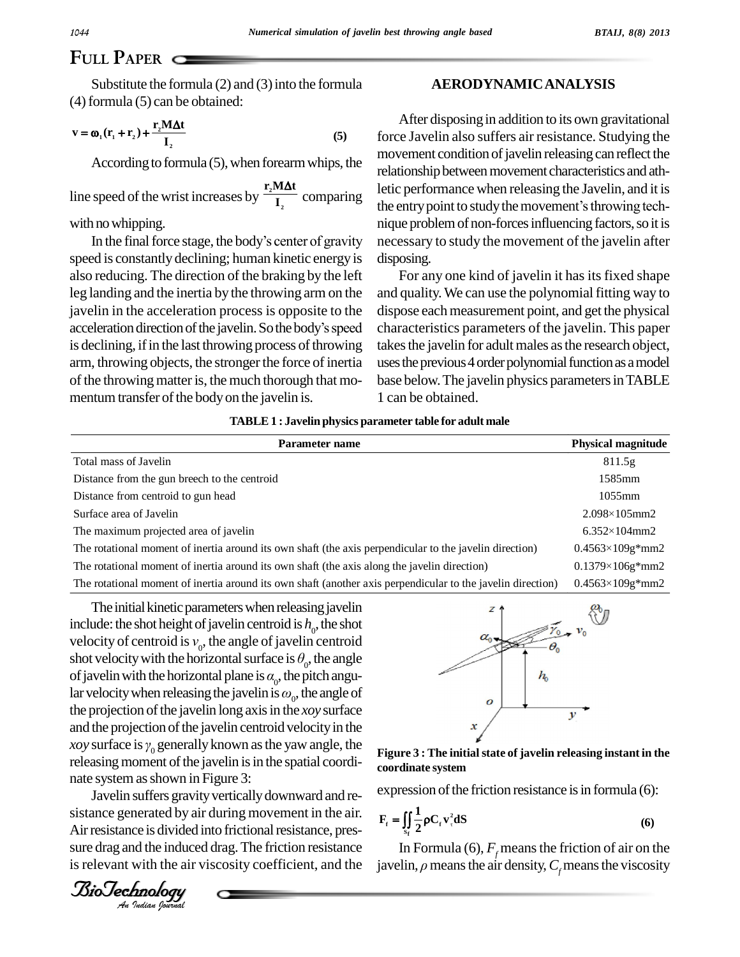## **FULL PAPER**

Substitute the formula  $(2)$  and  $(3)$  into the formula

(4) formula (5) can be obtained:  
\n
$$
\mathbf{v} = \mathbf{\omega}_1 (\mathbf{r}_1 + \mathbf{r}_2) + \frac{\mathbf{r}_2 \mathbf{M} \Delta \mathbf{t}}{\mathbf{I}_2}
$$
\n(5)

According to formula (5), when forearm whips, the relation r<sub>2</sub>M $\Delta t$  letic n

line speed of the wrist increases by  $\frac{2}{I_2}$  compared to the wrist increases by  $\frac{2}{I_2}$  compared to the wrist increases by  $\frac{2}{I_2}$  compared to the wrist increases by  $\frac{2}{I_2}$  compared to the wrist increases  $\frac{1}{I_2}$  comparing  $\frac{1}{I_1}$  the entr

with no whipping.

speed is constantly declining; human kinetic energy is also reducing. The direction of the braking by the left leg landing and the inertia by the throwing arm on the and qui<br>
javelin in the acceleration process is opposite to the dispose<br>
acceleration direction of the javelin. So the body's speed charac javelin in the acceleration process is opposite to the is declining, if in the last throwing process of throwing arm, throwing objects, the stronger the force of inertia of the throwing matter is, the much thorough that momentum transfer of the body on the javelin is.

#### **AERODYNAMICANALYSIS**

In the entry point to study the movement's throwing technomorphism.<br>In the final force stage, the body's center of gravity necessary to study the movement of the javelin after After disposing in addition to its own gravitational force Javelin also suffers air resistance. Studying the movement condition of javelin releasing can reflect the relationship between movement characteristics and athletic performance when releasing the Javelin, and it is relationship between movement characteristics and ath-<br>letic performance when releasing the Javelin, and it is<br>the entry point to study the movement's throwing technique problem of non-forces influencing factors, so it is necessary to study the movement of the javelin after disposing.

> For any one kind of javelin it has its fixed shape and quality. We can use the polynomial fitting way to dispose each measurement point, and get the physical characteristics parameters of the javelin. This paper takes the javelin for adult males as the research object, uses the previous 4 order polynomial function as a model base below.The javelin physics parametersinTABLE 1 can be obtained.

|  | TABLE 1 : Javelin physics parameter table for adult male |  |
|--|----------------------------------------------------------|--|
|--|----------------------------------------------------------|--|

| Parameter name                                                                                              | <b>Physical magnitude</b> |
|-------------------------------------------------------------------------------------------------------------|---------------------------|
| Total mass of Javelin                                                                                       | 811.5g                    |
| Distance from the gun breech to the centroid                                                                | 1585mm                    |
| Distance from centroid to gun head                                                                          | $1055$ mm                 |
| Surface area of Javelin                                                                                     | $2.098 \times 105$ mm2    |
| The maximum projected area of javelin                                                                       | $6.352 \times 104$ mm2    |
| The rotational moment of inertia around its own shaft (the axis perpendicular to the javelin direction)     | $0.4563 \times 109$ g*mm2 |
| The rotational moment of inertia around its own shaft (the axis along the javelin direction)                | $0.1379 \times 106$ g*mm2 |
| The rotational moment of inertia around its own shaft (another axis perpendicular to the javelin direction) | $0.4563 \times 109$ g*mm2 |

 $\frac{1}{2}$  Biotago Surface is  $\gamma_0$  generally known as the yaw angle, the Figureleasing moment of the javelin is in the spatial coordi-The initial kinetic parameters when releasing javelin include: the shot height of javelin centroid is  $h_0$ , the shot The initial kinetic parameters when releasing javelin<br>include: the shot height of javelin centroid is  $h_0$ , the shot<br>velocity of centroid is  $v_0$ , the angle of javelin centroid include: the shot height of javelin centroid is  $h_0$ , the velocity of centroid is  $v_0$ , the angle of javelin cent shot velocity with the horizontal surface is  $\theta_0$ , the a shot velocity with the horizontal surface is  $\theta_{0}$ , the angle velocity of centroid is  $v_0$ , the angle of javelin<br>shot velocity with the horizontal surface is  $\theta_0$ <br>of javelin with the horizontal plane is  $\alpha_0$ , the p ,thepitch angushot velocity with the horizontal surface is  $\theta_0$ , the of javelin with the horizontal plane is  $\alpha_0$ , the pitch lar velocity when releasing the javelin is  $\omega_0$ , the a lar velocity when releasing the javelin is  $\omega_0$ , the angle of the projection of the javelin long axis in the *xoy* surface<br>and the projection of the javelin centroid velocity in the<br>*xoy* surface is  $\gamma_0$  generally known as the yaw angle, the and the projection of the javelin centroid velocity in the *xoy* surface is  $\gamma_0$  generally known as the yaw angle, the nate system as shown in Figure 3:

Javelin suffers gravity vertically downward and re-Air resistance is divided into frictional resistance, pressure drag and the induced drag. The friction resistance is relevant with the air viscosity coefficient, and the **BioTechnology** sistance generated by air during movement in the air. sure drag and the induced drag.The friction resistance is relevant with the air viscosity coefficient, and the



**Figure 3 : The initialstate of javelin releasing instant in the coordinate system**

expression of the friction resistance is in formula (6):

expression of the friction resistance is in formula (6):  
\n
$$
\mathbf{F}_{\rm r} = \iint_{\rm S_{\rm f}} \frac{1}{2} \rho \mathbf{C}_{\rm r} \mathbf{v}_{\rm r}^2 \mathbf{dS}
$$
\n(6)

In Formula (6),  $F<sub>f</sub>$  means the friction of air on the javelin,  $\rho$  means the air density,  $C_f$  means the viscosity

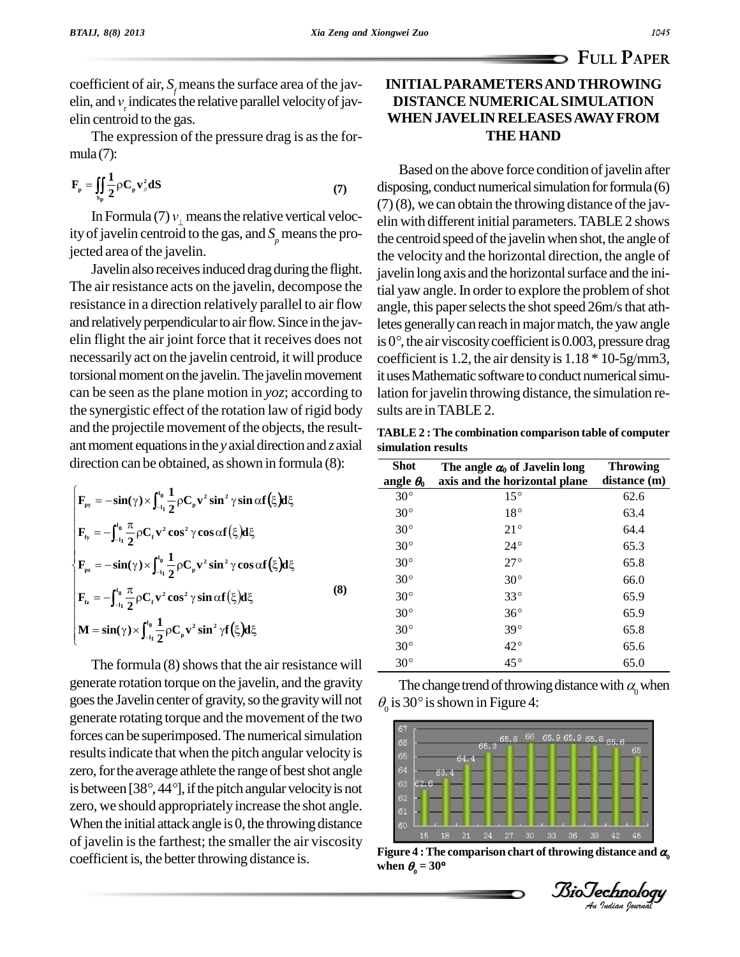**FULL PAPER**

coefficient of air,  $S_f$  means the surface area of the jav-<br>elin, and  $v<sub>\tau</sub>$  indicates the relative parallel velocity of javelin centroid to the gas.

The expression of the pressure drag is as the for-<br> $2^{(7)}$ mula(7):

mula (7):  
\n
$$
\mathbf{F}_{p} = \iint_{s_{p}} \frac{1}{2} \rho \mathbf{C}_{p} \mathbf{v}_{n}^{2} dS
$$
\nIn Formula (7)  $v_{1}$  means the relative vertical veloc-

ity of javelin centroid to the gas, and  $S<sub>p</sub>$  means the projected area of the javelin.

Javelin also receives induced drag during the flight. The air resistance acts on the javelin, decompose the resistance in a direction relatively parallel to air flow and relatively perpendicular to air flow. Since in the javnecessarily act on the javelin centroid, it will produce torsional moment on the javelin. The javelin movement can be seen asthe plane motion in *yoz*; according to the synergistic effect of the rotation law of rigid body sults are in TABLE 2. and the projectile movement of the objects, the resultant moment equations in the *y* axial direction and *z* axial

direction can be obtained, as shown in formula (8):  
\n
$$
\begin{cases}\n\mathbf{F}_{py} = -\sin(\gamma) \times \int_{-11}^{10} \frac{1}{2} \rho \mathbf{C}_{p} \mathbf{v}^{2} \sin^{2} \gamma \sin \alpha \mathbf{f}(\xi) d\xi \\
\mathbf{F}_{fy} = -\int_{-11}^{10} \frac{\pi}{2} \rho \mathbf{C}_{r} \mathbf{v}^{2} \cos^{2} \gamma \cos \alpha \mathbf{f}(\xi) d\xi \\
\mathbf{F}_{pz} = -\sin(\gamma) \times \int_{-11}^{10} \frac{1}{2} \rho \mathbf{C}_{p} \mathbf{v}^{2} \sin^{2} \gamma \cos \alpha \mathbf{f}(\xi) d\xi \\
\mathbf{F}_{tz} = -\int_{-11}^{10} \frac{\pi}{2} \rho \mathbf{C}_{r} \mathbf{v}^{2} \cos^{2} \gamma \sin \alpha \mathbf{f}(\xi) d\xi \\
\mathbf{M} = \sin(\gamma) \times \int_{-11}^{10} \frac{1}{2} \rho \mathbf{C}_{p} \mathbf{v}^{2} \sin^{2} \gamma \mathbf{f}(\xi) d\xi\n\end{cases}
$$
\n(8)

The formula  $(8)$  shows that the air resistance will generate rotation torque on the javelin, and the gravity goesthe Javelin center of gravity,so the gravitywill not generate rotating torque and the movement of the two forces can be superimposed. The numerical simulation results indicate that when the pitch angular velocity is  $\log$ zero, for the average athlete the range of best shot angle results indicate that when the pitch angular velocity is<br>zero, for the average athlete the range of best shot angle<br>is between [38°, 44°], if the pitch angular velocity is not zero, we should appropriately increase the shot angle. When the initial attack angle is  $0$ , the throwing distance of javelin isthe farthest; the smaller the air viscosity coefficient is, the better throwing distance is.

### **INITIALPARAMETERSAND THROWING DISTANCE NUMERICALSIMULATION WHEN JAVELIN RELEASESAWAYFROM THE HAND**

elin flight the air joint force that it receives does not is  $0^\circ$ , the air viscosity coefficient is 0.003, pressure drag Based on the above force condition of javelin after disposing, conduct numerical simulation for formula  $(6)$  $(7)(8)$ , we can obtain the throwing distance of the javelin with different initial parameters.TABLE2 shows the centroid speed of the javelin when shot, the angle of the velocity and the horizontal direction, the angle of javelin long axis and the horizontal surface and the initial yaw angle. In order to explore the problem of shot angle, this paper selects the shot speed 26m/s that ath-<br>letes generally can reach in major match, the yaw angle<br>is 0°, the air viscosity coefficient is 0.003, pressure drag letes generally can reach in major match, the yaw angle coefficient is 1.2, the air density is 1.18 \* 10-5g/mm3, it uses Mathematic software to conduct numerical simulation for javelin throwing distance, the simulation re-

**TABLE2 : The combination comparison table of computer simulation results**

| Shot             | The angle $\alpha_0$ of Javelin long | <b>Throwing</b> |
|------------------|--------------------------------------|-----------------|
| angle $\theta_0$ | axis and the horizontal plane        | distance (m)    |
| $30^{\circ}$     | $15^{\circ}$                         | 62.6            |
| $30^{\circ}$     | $18^{\circ}$                         | 63.4            |
| $30^{\circ}$     | $21^{\circ}$                         | 64.4            |
| $30^{\circ}$     | $24^{\circ}$                         | 65.3            |
| $30^{\circ}$     | $27^\circ$                           | 65.8            |
| $30^{\circ}$     | $30^{\circ}$                         | 66.0            |
| $30^{\circ}$     | $33^{\circ}$                         | 65.9            |
| $30^{\circ}$     | $36^{\circ}$                         | 65.9            |
| $30^{\circ}$     | $39^\circ$                           | 65.8            |
| $30^{\circ}$     | $42^{\circ}$                         | 65.6            |
| $30^\circ$       | $45^{\circ}$                         | 65.0            |

The change trend of throwing distance with  $\alpha_{\text{0}}$  when  $\theta_0$  is 30° is shown in Figure 4:  $\frac{45^\circ}{\text{The change trend of throwing dist}}$ <br>is 30° is shown in Figure 4:



**Figure** 4 **:** The comparison chart of throwing distance and  $\alpha_0$  when  $\theta_0 = 30^\circ$ 

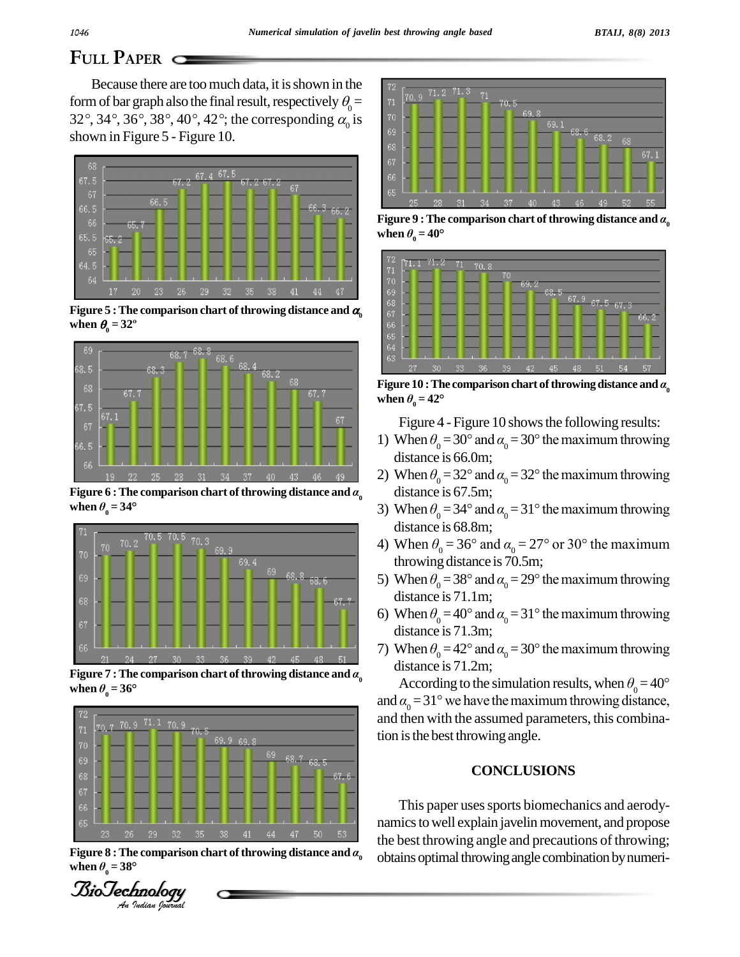# FULL PAPER C

Because there are too much data, it is shown in the form of bar graph also the final result, respectively  $\theta_0 =$ 32°, 34°, 36°, 38°, 40°, 42°; the corresponding  $\alpha$  is shown in Figure 5 - Figure 10.



Figure 5 : The comparison chart of throwing distance and  $\alpha$ when  $\theta_0 = 32^\circ$ 



Figure 6 : The comparison chart of throwing distance and  $\alpha_{0}$ when  $\theta_0 = 34^\circ$ 



Figure 7 : The comparison chart of throwing distance and  $\alpha_{0}$ when  $\theta_{0} = 36^{\circ}$ 



Figure 8 : The comparison chart of throwing distance and  $\alpha$ when  $\theta_0 = 38^\circ$ 





Figure 9 : The comparison chart of throwing distance and  $\alpha_{0}$ when  $\theta_{0} = 40^{\circ}$ 



Figure 10 : The comparison chart of throwing distance and  $\alpha_0$ when  $\theta_0 = 42^{\circ}$ 

Figure 4 - Figure 10 shows the following results:

- 1) When  $\theta_0 = 30^\circ$  and  $\alpha_0 = 30^\circ$  the maximum throwing distance is 66.0m;
- 2) When  $\theta_0 = 32^\circ$  and  $\alpha_0 = 32^\circ$  the maximum throwing distance is 67.5m;
- 3) When  $\theta_0 = 34^\circ$  and  $\alpha_0 = 31^\circ$  the maximum throwing distance is 68.8m;
- 4) When  $\theta_0 = 36^\circ$  and  $\alpha_0 = 27^\circ$  or 30° the maximum throwing distance is 70.5m;
- 5) When  $\theta_0 = 38^\circ$  and  $\alpha_0 = 29^\circ$  the maximum throwing distance is 71.1m;
- 6) When  $\theta_0 = 40^\circ$  and  $\alpha_0 = 31^\circ$  the maximum throwing distance is 71.3m;
- 7) When  $\theta_0 = 42^\circ$  and  $\alpha_0 = 30^\circ$  the maximum throwing distance is 71.2m:

According to the simulation results, when  $\theta_0 = 40^{\circ}$ and  $\alpha_{0} = 31^{\circ}$  we have the maximum throwing distance, and then with the assumed parameters, this combination is the best throwing angle.

### **CONCLUSIONS**

This paper uses sports biomechanics and aerodynamics to well explain javelin movement, and propose the best throwing angle and precautions of throwing; obtains optimal throwing angle combination by numeri-